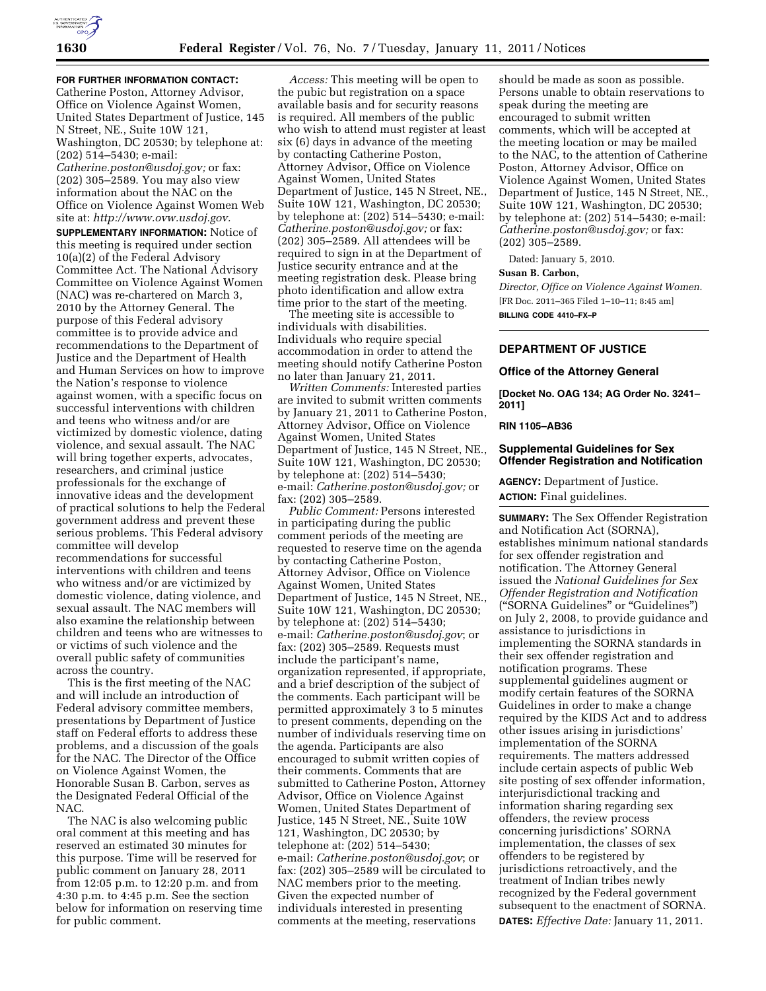

**FOR FURTHER INFORMATION CONTACT:**  Catherine Poston, Attorney Advisor, Office on Violence Against Women, United States Department of Justice, 145 N Street, NE., Suite 10W 121, Washington, DC 20530; by telephone at: (202) 514–5430; e-mail: *[Catherine.poston@usdoj.gov;](mailto:Catherine.poston@usdoj.gov)* or fax: (202) 305–2589. You may also view information about the NAC on the Office on Violence Against Women Web site at: *[http://www.ovw.usdoj.gov.](http://www.ovw.usdoj.gov)* 

**SUPPLEMENTARY INFORMATION:** Notice of this meeting is required under section 10(a)(2) of the Federal Advisory Committee Act. The National Advisory Committee on Violence Against Women (NAC) was re-chartered on March 3, 2010 by the Attorney General. The purpose of this Federal advisory committee is to provide advice and recommendations to the Department of Justice and the Department of Health and Human Services on how to improve the Nation's response to violence against women, with a specific focus on successful interventions with children and teens who witness and/or are victimized by domestic violence, dating violence, and sexual assault. The NAC will bring together experts, advocates, researchers, and criminal justice professionals for the exchange of innovative ideas and the development of practical solutions to help the Federal government address and prevent these serious problems. This Federal advisory committee will develop recommendations for successful interventions with children and teens who witness and/or are victimized by domestic violence, dating violence, and sexual assault. The NAC members will also examine the relationship between children and teens who are witnesses to or victims of such violence and the overall public safety of communities across the country.

This is the first meeting of the NAC and will include an introduction of Federal advisory committee members, presentations by Department of Justice staff on Federal efforts to address these problems, and a discussion of the goals for the NAC. The Director of the Office on Violence Against Women, the Honorable Susan B. Carbon, serves as the Designated Federal Official of the NAC.

The NAC is also welcoming public oral comment at this meeting and has reserved an estimated 30 minutes for this purpose. Time will be reserved for public comment on January 28, 2011 from 12:05 p.m. to 12:20 p.m. and from 4:30 p.m. to 4:45 p.m. See the section below for information on reserving time for public comment.

*Access:* This meeting will be open to the pubic but registration on a space available basis and for security reasons is required. All members of the public who wish to attend must register at least six (6) days in advance of the meeting by contacting Catherine Poston, Attorney Advisor, Office on Violence Against Women, United States Department of Justice, 145 N Street, NE., Suite 10W 121, Washington, DC 20530; by telephone at: (202) 514–5430; e-mail: *[Catherine.poston@usdoj.gov;](mailto:Catherine.poston@usdoj.gov)* or fax: (202) 305–2589. All attendees will be required to sign in at the Department of Justice security entrance and at the meeting registration desk. Please bring photo identification and allow extra time prior to the start of the meeting.

The meeting site is accessible to individuals with disabilities. Individuals who require special accommodation in order to attend the meeting should notify Catherine Poston no later than January 21, 2011.

*Written Comments:* Interested parties are invited to submit written comments by January 21, 2011 to Catherine Poston, Attorney Advisor, Office on Violence Against Women, United States Department of Justice, 145 N Street, NE., Suite 10W 121, Washington, DC 20530; by telephone at: (202) 514–5430; e-mail: *[Catherine.poston@usdoj.gov;](mailto:Catherine.poston@usdoj.gov)* or fax: (202) 305–2589.

*Public Comment:* Persons interested in participating during the public comment periods of the meeting are requested to reserve time on the agenda by contacting Catherine Poston, Attorney Advisor, Office on Violence Against Women, United States Department of Justice, 145 N Street, NE., Suite 10W 121, Washington, DC 20530; by telephone at: (202) 514–5430; e-mail: *[Catherine.poston@usdoj.gov](mailto:Catherine.poston@usdoj.gov)*; or fax: (202) 305–2589. Requests must include the participant's name, organization represented, if appropriate, and a brief description of the subject of the comments. Each participant will be permitted approximately 3 to 5 minutes to present comments, depending on the number of individuals reserving time on the agenda. Participants are also encouraged to submit written copies of their comments. Comments that are submitted to Catherine Poston, Attorney Advisor, Office on Violence Against Women, United States Department of Justice, 145 N Street, NE., Suite 10W 121, Washington, DC 20530; by telephone at: (202) 514–5430; e-mail: *[Catherine.poston@usdoj.gov](mailto:Catherine.poston@usdoj.gov)*; or fax: (202) 305–2589 will be circulated to NAC members prior to the meeting. Given the expected number of individuals interested in presenting comments at the meeting, reservations

should be made as soon as possible. Persons unable to obtain reservations to speak during the meeting are encouraged to submit written comments, which will be accepted at the meeting location or may be mailed to the NAC, to the attention of Catherine Poston, Attorney Advisor, Office on Violence Against Women, United States Department of Justice, 145 N Street, NE., Suite 10W 121, Washington, DC 20530; by telephone at: (202) 514–5430; e-mail: *[Catherine.poston@usdoj.gov;](mailto:Catherine.poston@usdoj.gov)* or fax: (202) 305–2589.

Dated: January 5, 2010.

## **Susan B. Carbon,**

*Director, Office on Violence Against Women.*  [FR Doc. 2011–365 Filed 1–10–11; 8:45 am] **BILLING CODE 4410–FX–P** 

# **DEPARTMENT OF JUSTICE**

### **Office of the Attorney General**

**[Docket No. OAG 134; AG Order No. 3241– 2011]** 

#### **RIN 1105–AB36**

## **Supplemental Guidelines for Sex Offender Registration and Notification**

**AGENCY:** Department of Justice. **ACTION:** Final guidelines.

**SUMMARY:** The Sex Offender Registration and Notification Act (SORNA), establishes minimum national standards for sex offender registration and notification. The Attorney General issued the *National Guidelines for Sex Offender Registration and Notification*  (''SORNA Guidelines'' or ''Guidelines'') on July 2, 2008, to provide guidance and assistance to jurisdictions in implementing the SORNA standards in their sex offender registration and notification programs. These supplemental guidelines augment or modify certain features of the SORNA Guidelines in order to make a change required by the KIDS Act and to address other issues arising in jurisdictions' implementation of the SORNA requirements. The matters addressed include certain aspects of public Web site posting of sex offender information, interjurisdictional tracking and information sharing regarding sex offenders, the review process concerning jurisdictions' SORNA implementation, the classes of sex offenders to be registered by jurisdictions retroactively, and the treatment of Indian tribes newly recognized by the Federal government subsequent to the enactment of SORNA. **DATES:** *Effective Date:* January 11, 2011.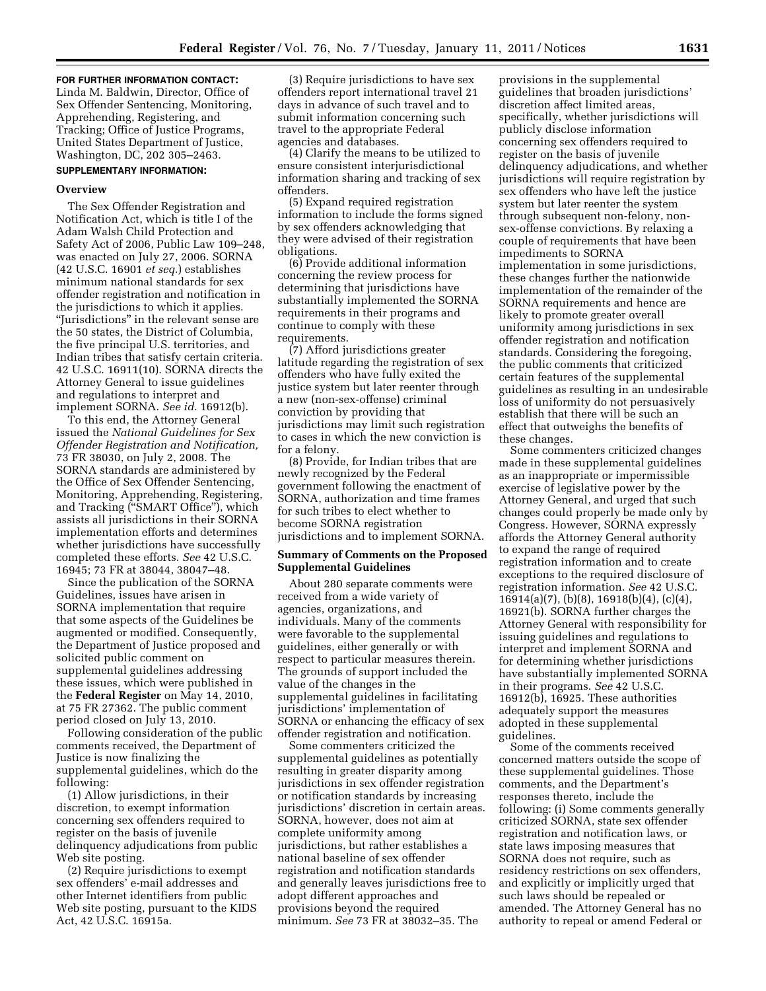#### **FOR FURTHER INFORMATION CONTACT:**

Linda M. Baldwin, Director, Office of Sex Offender Sentencing, Monitoring, Apprehending, Registering, and Tracking; Office of Justice Programs, United States Department of Justice, Washington, DC, 202 305–2463.

## **SUPPLEMENTARY INFORMATION:**

#### **Overview**

The Sex Offender Registration and Notification Act, which is title I of the Adam Walsh Child Protection and Safety Act of 2006, Public Law 109–248, was enacted on July 27, 2006. SORNA (42 U.S.C. 16901 *et seq.*) establishes minimum national standards for sex offender registration and notification in the jurisdictions to which it applies. ''Jurisdictions'' in the relevant sense are the 50 states, the District of Columbia, the five principal U.S. territories, and Indian tribes that satisfy certain criteria. 42 U.S.C. 16911(10). SORNA directs the Attorney General to issue guidelines and regulations to interpret and implement SORNA. *See id.* 16912(b).

To this end, the Attorney General issued the *National Guidelines for Sex Offender Registration and Notification,*  73 FR 38030, on July 2, 2008. The SORNA standards are administered by the Office of Sex Offender Sentencing, Monitoring, Apprehending, Registering, and Tracking (''SMART Office''), which assists all jurisdictions in their SORNA implementation efforts and determines whether jurisdictions have successfully completed these efforts. *See* 42 U.S.C. 16945; 73 FR at 38044, 38047–48.

Since the publication of the SORNA Guidelines, issues have arisen in SORNA implementation that require that some aspects of the Guidelines be augmented or modified. Consequently, the Department of Justice proposed and solicited public comment on supplemental guidelines addressing these issues, which were published in the **Federal Register** on May 14, 2010, at 75 FR 27362. The public comment period closed on July 13, 2010.

Following consideration of the public comments received, the Department of Justice is now finalizing the supplemental guidelines, which do the following:

(1) Allow jurisdictions, in their discretion, to exempt information concerning sex offenders required to register on the basis of juvenile delinquency adjudications from public Web site posting.

(2) Require jurisdictions to exempt sex offenders' e-mail addresses and other Internet identifiers from public Web site posting, pursuant to the KIDS Act, 42 U.S.C. 16915a.

(3) Require jurisdictions to have sex offenders report international travel 21 days in advance of such travel and to submit information concerning such travel to the appropriate Federal agencies and databases.

(4) Clarify the means to be utilized to ensure consistent interjurisdictional information sharing and tracking of sex offenders.

(5) Expand required registration information to include the forms signed by sex offenders acknowledging that they were advised of their registration obligations.

(6) Provide additional information concerning the review process for determining that jurisdictions have substantially implemented the SORNA requirements in their programs and continue to comply with these requirements.

(7) Afford jurisdictions greater latitude regarding the registration of sex offenders who have fully exited the justice system but later reenter through a new (non-sex-offense) criminal conviction by providing that jurisdictions may limit such registration to cases in which the new conviction is for a felony.

(8) Provide, for Indian tribes that are newly recognized by the Federal government following the enactment of SORNA, authorization and time frames for such tribes to elect whether to become SORNA registration jurisdictions and to implement SORNA.

## **Summary of Comments on the Proposed Supplemental Guidelines**

About 280 separate comments were received from a wide variety of agencies, organizations, and individuals. Many of the comments were favorable to the supplemental guidelines, either generally or with respect to particular measures therein. The grounds of support included the value of the changes in the supplemental guidelines in facilitating jurisdictions' implementation of SORNA or enhancing the efficacy of sex offender registration and notification.

Some commenters criticized the supplemental guidelines as potentially resulting in greater disparity among jurisdictions in sex offender registration or notification standards by increasing jurisdictions' discretion in certain areas. SORNA, however, does not aim at complete uniformity among jurisdictions, but rather establishes a national baseline of sex offender registration and notification standards and generally leaves jurisdictions free to adopt different approaches and provisions beyond the required minimum. *See* 73 FR at 38032–35. The

provisions in the supplemental guidelines that broaden jurisdictions' discretion affect limited areas, specifically, whether jurisdictions will publicly disclose information concerning sex offenders required to register on the basis of juvenile delinquency adjudications, and whether jurisdictions will require registration by sex offenders who have left the justice system but later reenter the system through subsequent non-felony, nonsex-offense convictions. By relaxing a couple of requirements that have been impediments to SORNA implementation in some jurisdictions, these changes further the nationwide implementation of the remainder of the SORNA requirements and hence are likely to promote greater overall uniformity among jurisdictions in sex offender registration and notification standards. Considering the foregoing, the public comments that criticized certain features of the supplemental guidelines as resulting in an undesirable loss of uniformity do not persuasively establish that there will be such an effect that outweighs the benefits of these changes.

Some commenters criticized changes made in these supplemental guidelines as an inappropriate or impermissible exercise of legislative power by the Attorney General, and urged that such changes could properly be made only by Congress. However, SORNA expressly affords the Attorney General authority to expand the range of required registration information and to create exceptions to the required disclosure of registration information. *See* 42 U.S.C. 16914(a)(7), (b)(8), 16918(b)(4), (c)(4), 16921(b). SORNA further charges the Attorney General with responsibility for issuing guidelines and regulations to interpret and implement SORNA and for determining whether jurisdictions have substantially implemented SORNA in their programs. *See* 42 U.S.C. 16912(b), 16925. These authorities adequately support the measures adopted in these supplemental guidelines.

Some of the comments received concerned matters outside the scope of these supplemental guidelines. Those comments, and the Department's responses thereto, include the following: (i) Some comments generally criticized SORNA, state sex offender registration and notification laws, or state laws imposing measures that SORNA does not require, such as residency restrictions on sex offenders, and explicitly or implicitly urged that such laws should be repealed or amended. The Attorney General has no authority to repeal or amend Federal or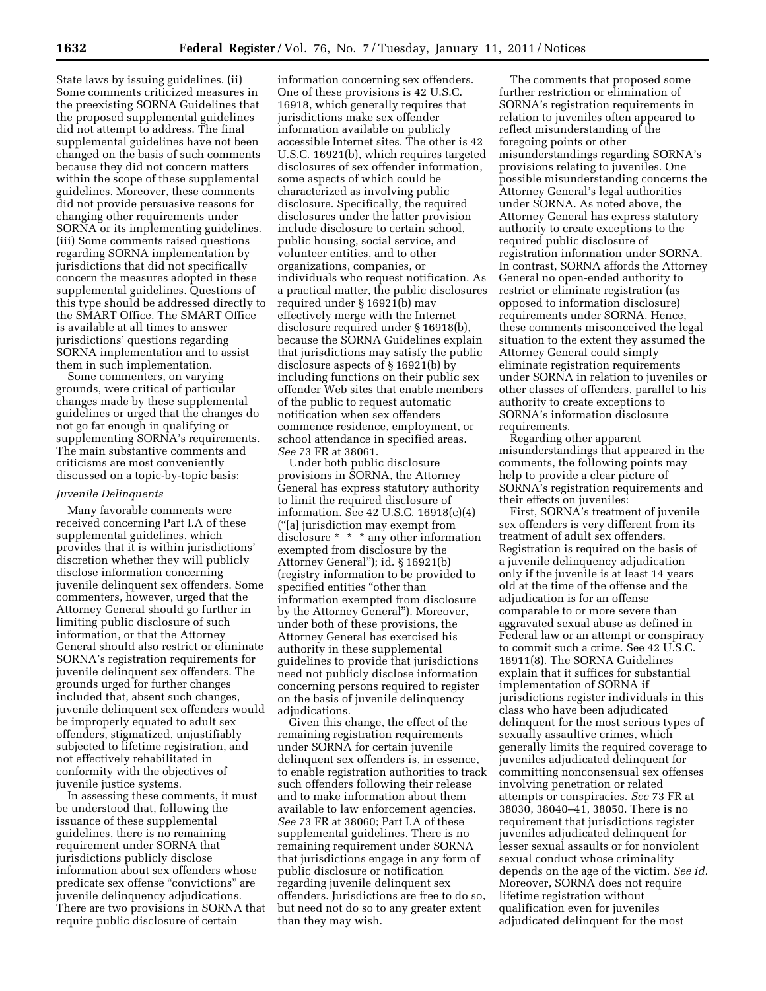State laws by issuing guidelines. (ii) Some comments criticized measures in the preexisting SORNA Guidelines that the proposed supplemental guidelines did not attempt to address. The final supplemental guidelines have not been changed on the basis of such comments because they did not concern matters within the scope of these supplemental guidelines. Moreover, these comments did not provide persuasive reasons for changing other requirements under SORNA or its implementing guidelines. (iii) Some comments raised questions regarding SORNA implementation by jurisdictions that did not specifically concern the measures adopted in these supplemental guidelines. Questions of this type should be addressed directly to the SMART Office. The SMART Office is available at all times to answer jurisdictions' questions regarding SORNA implementation and to assist them in such implementation.

Some commenters, on varying grounds, were critical of particular changes made by these supplemental guidelines or urged that the changes do not go far enough in qualifying or supplementing SORNA's requirements. The main substantive comments and criticisms are most conveniently discussed on a topic-by-topic basis:

## *Juvenile Delinquents*

Many favorable comments were received concerning Part I.A of these supplemental guidelines, which provides that it is within jurisdictions' discretion whether they will publicly disclose information concerning juvenile delinquent sex offenders. Some commenters, however, urged that the Attorney General should go further in limiting public disclosure of such information, or that the Attorney General should also restrict or eliminate SORNA's registration requirements for juvenile delinquent sex offenders. The grounds urged for further changes included that, absent such changes, juvenile delinquent sex offenders would be improperly equated to adult sex offenders, stigmatized, unjustifiably subjected to lifetime registration, and not effectively rehabilitated in conformity with the objectives of juvenile justice systems.

In assessing these comments, it must be understood that, following the issuance of these supplemental guidelines, there is no remaining requirement under SORNA that jurisdictions publicly disclose information about sex offenders whose predicate sex offense "convictions" are juvenile delinquency adjudications. There are two provisions in SORNA that require public disclosure of certain

information concerning sex offenders. One of these provisions is 42 U.S.C. 16918, which generally requires that jurisdictions make sex offender information available on publicly accessible Internet sites. The other is 42 U.S.C. 16921(b), which requires targeted disclosures of sex offender information, some aspects of which could be characterized as involving public disclosure. Specifically, the required disclosures under the latter provision include disclosure to certain school, public housing, social service, and volunteer entities, and to other organizations, companies, or individuals who request notification. As a practical matter, the public disclosures required under § 16921(b) may effectively merge with the Internet disclosure required under § 16918(b), because the SORNA Guidelines explain that jurisdictions may satisfy the public disclosure aspects of § 16921(b) by including functions on their public sex offender Web sites that enable members of the public to request automatic notification when sex offenders commence residence, employment, or school attendance in specified areas. *See* 73 FR at 38061.

Under both public disclosure provisions in SORNA, the Attorney General has express statutory authority to limit the required disclosure of information. See 42 U.S.C. 16918(c)(4) (''[a] jurisdiction may exempt from disclosure \* \* \* any other information exempted from disclosure by the Attorney General''); id. § 16921(b) (registry information to be provided to specified entities "other than information exempted from disclosure by the Attorney General''). Moreover, under both of these provisions, the Attorney General has exercised his authority in these supplemental guidelines to provide that jurisdictions need not publicly disclose information concerning persons required to register on the basis of juvenile delinquency adjudications.

Given this change, the effect of the remaining registration requirements under SORNA for certain juvenile delinquent sex offenders is, in essence, to enable registration authorities to track such offenders following their release and to make information about them available to law enforcement agencies. *See* 73 FR at 38060; Part I.A of these supplemental guidelines. There is no remaining requirement under SORNA that jurisdictions engage in any form of public disclosure or notification regarding juvenile delinquent sex offenders. Jurisdictions are free to do so, but need not do so to any greater extent than they may wish.

The comments that proposed some further restriction or elimination of SORNA's registration requirements in relation to juveniles often appeared to reflect misunderstanding of the foregoing points or other misunderstandings regarding SORNA's provisions relating to juveniles. One possible misunderstanding concerns the Attorney General's legal authorities under SORNA. As noted above, the Attorney General has express statutory authority to create exceptions to the required public disclosure of registration information under SORNA. In contrast, SORNA affords the Attorney General no open-ended authority to restrict or eliminate registration (as opposed to information disclosure) requirements under SORNA. Hence, these comments misconceived the legal situation to the extent they assumed the Attorney General could simply eliminate registration requirements under SORNA in relation to juveniles or other classes of offenders, parallel to his authority to create exceptions to SORNA's information disclosure requirements.

Regarding other apparent misunderstandings that appeared in the comments, the following points may help to provide a clear picture of SORNA's registration requirements and their effects on juveniles:

First, SORNA's treatment of juvenile sex offenders is very different from its treatment of adult sex offenders. Registration is required on the basis of a juvenile delinquency adjudication only if the juvenile is at least 14 years old at the time of the offense and the adjudication is for an offense comparable to or more severe than aggravated sexual abuse as defined in Federal law or an attempt or conspiracy to commit such a crime. See 42 U.S.C. 16911(8). The SORNA Guidelines explain that it suffices for substantial implementation of SORNA if jurisdictions register individuals in this class who have been adjudicated delinquent for the most serious types of sexually assaultive crimes, which generally limits the required coverage to juveniles adjudicated delinquent for committing nonconsensual sex offenses involving penetration or related attempts or conspiracies. *See* 73 FR at 38030, 38040–41, 38050. There is no requirement that jurisdictions register juveniles adjudicated delinquent for lesser sexual assaults or for nonviolent sexual conduct whose criminality depends on the age of the victim. *See id.*  Moreover, SORNA does not require lifetime registration without qualification even for juveniles adjudicated delinquent for the most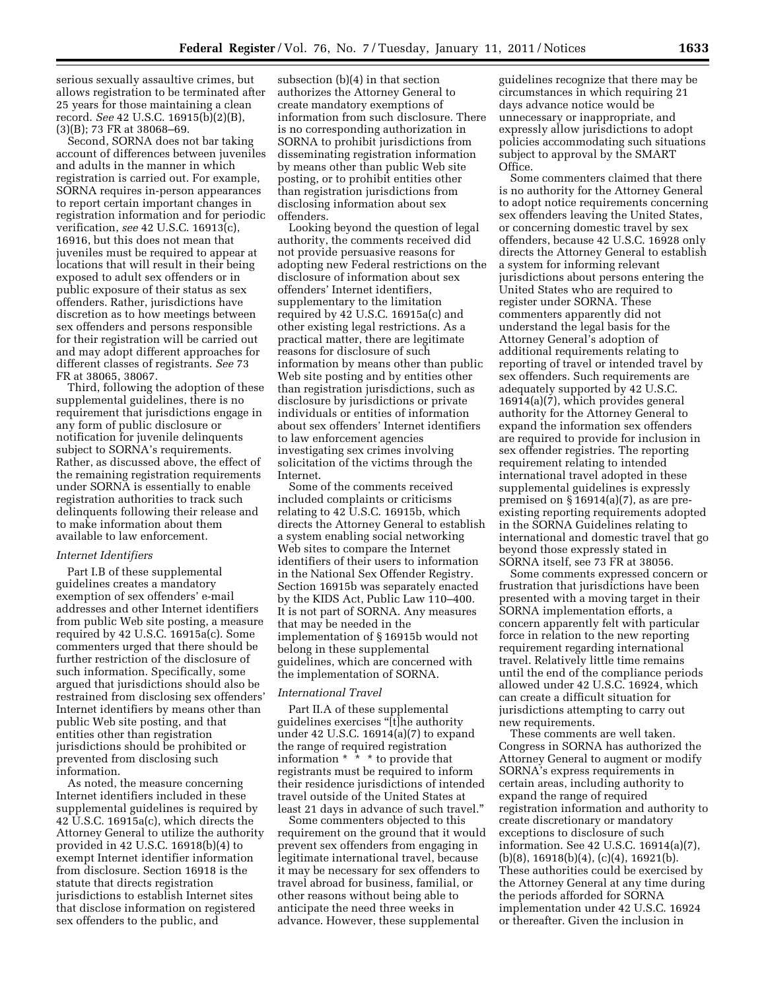serious sexually assaultive crimes, but allows registration to be terminated after 25 years for those maintaining a clean record. *See* 42 U.S.C. 16915(b)(2)(B), (3)(B); 73 FR at 38068–69.

Second, SORNA does not bar taking account of differences between juveniles and adults in the manner in which registration is carried out. For example, SORNA requires in-person appearances to report certain important changes in registration information and for periodic verification, *see* 42 U.S.C. 16913(c), 16916, but this does not mean that juveniles must be required to appear at locations that will result in their being exposed to adult sex offenders or in public exposure of their status as sex offenders. Rather, jurisdictions have discretion as to how meetings between sex offenders and persons responsible for their registration will be carried out and may adopt different approaches for different classes of registrants. *See* 73 FR at 38065, 38067.

Third, following the adoption of these supplemental guidelines, there is no requirement that jurisdictions engage in any form of public disclosure or notification for juvenile delinquents subject to SORNA's requirements. Rather, as discussed above, the effect of the remaining registration requirements under SORNA is essentially to enable registration authorities to track such delinquents following their release and to make information about them available to law enforcement.

### *Internet Identifiers*

Part I.B of these supplemental guidelines creates a mandatory exemption of sex offenders' e-mail addresses and other Internet identifiers from public Web site posting, a measure required by 42 U.S.C. 16915a(c). Some commenters urged that there should be further restriction of the disclosure of such information. Specifically, some argued that jurisdictions should also be restrained from disclosing sex offenders' Internet identifiers by means other than public Web site posting, and that entities other than registration jurisdictions should be prohibited or prevented from disclosing such information.

As noted, the measure concerning Internet identifiers included in these supplemental guidelines is required by 42 U.S.C. 16915a(c), which directs the Attorney General to utilize the authority provided in 42 U.S.C. 16918(b)(4) to exempt Internet identifier information from disclosure. Section 16918 is the statute that directs registration jurisdictions to establish Internet sites that disclose information on registered sex offenders to the public, and

subsection (b)(4) in that section authorizes the Attorney General to create mandatory exemptions of information from such disclosure. There is no corresponding authorization in SORNA to prohibit jurisdictions from disseminating registration information by means other than public Web site posting, or to prohibit entities other than registration jurisdictions from disclosing information about sex offenders.

Looking beyond the question of legal authority, the comments received did not provide persuasive reasons for adopting new Federal restrictions on the disclosure of information about sex offenders' Internet identifiers, supplementary to the limitation required by 42 U.S.C. 16915a(c) and other existing legal restrictions. As a practical matter, there are legitimate reasons for disclosure of such information by means other than public Web site posting and by entities other than registration jurisdictions, such as disclosure by jurisdictions or private individuals or entities of information about sex offenders' Internet identifiers to law enforcement agencies investigating sex crimes involving solicitation of the victims through the Internet.

Some of the comments received included complaints or criticisms relating to 42 U.S.C. 16915b, which directs the Attorney General to establish a system enabling social networking Web sites to compare the Internet identifiers of their users to information in the National Sex Offender Registry. Section 16915b was separately enacted by the KIDS Act, Public Law 110–400. It is not part of SORNA. Any measures that may be needed in the implementation of § 16915b would not belong in these supplemental guidelines, which are concerned with the implementation of SORNA.

## *International Travel*

Part II.A of these supplemental guidelines exercises ''[t]he authority under 42 U.S.C. 16914(a)(7) to expand the range of required registration information \* \* \* to provide that registrants must be required to inform their residence jurisdictions of intended travel outside of the United States at least 21 days in advance of such travel.''

Some commenters objected to this requirement on the ground that it would prevent sex offenders from engaging in legitimate international travel, because it may be necessary for sex offenders to travel abroad for business, familial, or other reasons without being able to anticipate the need three weeks in advance. However, these supplemental

guidelines recognize that there may be circumstances in which requiring 21 days advance notice would be unnecessary or inappropriate, and expressly allow jurisdictions to adopt policies accommodating such situations subject to approval by the SMART Office.

Some commenters claimed that there is no authority for the Attorney General to adopt notice requirements concerning sex offenders leaving the United States, or concerning domestic travel by sex offenders, because 42 U.S.C. 16928 only directs the Attorney General to establish a system for informing relevant jurisdictions about persons entering the United States who are required to register under SORNA. These commenters apparently did not understand the legal basis for the Attorney General's adoption of additional requirements relating to reporting of travel or intended travel by sex offenders. Such requirements are adequately supported by 42 U.S.C. 16914(a)(7), which provides general authority for the Attorney General to expand the information sex offenders are required to provide for inclusion in sex offender registries. The reporting requirement relating to intended international travel adopted in these supplemental guidelines is expressly premised on § 16914(a)(7), as are preexisting reporting requirements adopted in the SORNA Guidelines relating to international and domestic travel that go beyond those expressly stated in SORNA itself, see 73 FR at 38056.

Some comments expressed concern or frustration that jurisdictions have been presented with a moving target in their SORNA implementation efforts, a concern apparently felt with particular force in relation to the new reporting requirement regarding international travel. Relatively little time remains until the end of the compliance periods allowed under 42 U.S.C. 16924, which can create a difficult situation for jurisdictions attempting to carry out new requirements.

These comments are well taken. Congress in SORNA has authorized the Attorney General to augment or modify SORNA's express requirements in certain areas, including authority to expand the range of required registration information and authority to create discretionary or mandatory exceptions to disclosure of such information. See 42 U.S.C. 16914(a)(7), (b)(8), 16918(b)(4), (c)(4), 16921(b). These authorities could be exercised by the Attorney General at any time during the periods afforded for SORNA implementation under 42 U.S.C. 16924 or thereafter. Given the inclusion in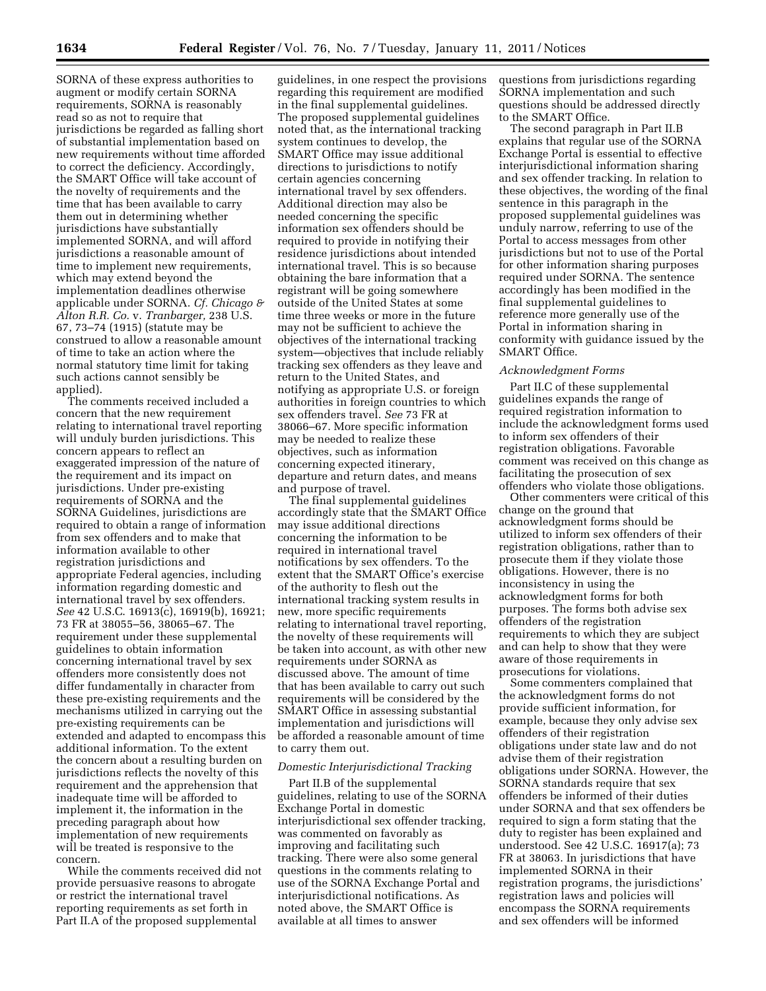SORNA of these express authorities to augment or modify certain SORNA requirements, SORNA is reasonably read so as not to require that jurisdictions be regarded as falling short of substantial implementation based on new requirements without time afforded to correct the deficiency. Accordingly, the SMART Office will take account of the novelty of requirements and the time that has been available to carry them out in determining whether jurisdictions have substantially implemented SORNA, and will afford jurisdictions a reasonable amount of time to implement new requirements, which may extend beyond the implementation deadlines otherwise applicable under SORNA. *Cf. Chicago & Alton R.R. Co.* v. *Tranbarger,* 238 U.S. 67, 73–74 (1915) (statute may be construed to allow a reasonable amount of time to take an action where the normal statutory time limit for taking such actions cannot sensibly be applied).

The comments received included a concern that the new requirement relating to international travel reporting will unduly burden jurisdictions. This concern appears to reflect an exaggerated impression of the nature of the requirement and its impact on jurisdictions. Under pre-existing requirements of SORNA and the SORNA Guidelines, jurisdictions are required to obtain a range of information from sex offenders and to make that information available to other registration jurisdictions and appropriate Federal agencies, including information regarding domestic and international travel by sex offenders. *See* 42 U.S.C. 16913(c), 16919(b), 16921; 73 FR at 38055–56, 38065–67. The requirement under these supplemental guidelines to obtain information concerning international travel by sex offenders more consistently does not differ fundamentally in character from these pre-existing requirements and the mechanisms utilized in carrying out the pre-existing requirements can be extended and adapted to encompass this additional information. To the extent the concern about a resulting burden on jurisdictions reflects the novelty of this requirement and the apprehension that inadequate time will be afforded to implement it, the information in the preceding paragraph about how implementation of new requirements will be treated is responsive to the concern.

While the comments received did not provide persuasive reasons to abrogate or restrict the international travel reporting requirements as set forth in Part II.A of the proposed supplemental

guidelines, in one respect the provisions regarding this requirement are modified in the final supplemental guidelines. The proposed supplemental guidelines noted that, as the international tracking system continues to develop, the SMART Office may issue additional directions to jurisdictions to notify certain agencies concerning international travel by sex offenders. Additional direction may also be needed concerning the specific information sex offenders should be required to provide in notifying their residence jurisdictions about intended international travel. This is so because obtaining the bare information that a registrant will be going somewhere outside of the United States at some time three weeks or more in the future may not be sufficient to achieve the objectives of the international tracking system—objectives that include reliably tracking sex offenders as they leave and return to the United States, and notifying as appropriate U.S. or foreign authorities in foreign countries to which sex offenders travel. *See* 73 FR at 38066–67. More specific information may be needed to realize these objectives, such as information concerning expected itinerary, departure and return dates, and means and purpose of travel.

The final supplemental guidelines accordingly state that the SMART Office may issue additional directions concerning the information to be required in international travel notifications by sex offenders. To the extent that the SMART Office's exercise of the authority to flesh out the international tracking system results in new, more specific requirements relating to international travel reporting, the novelty of these requirements will be taken into account, as with other new requirements under SORNA as discussed above. The amount of time that has been available to carry out such requirements will be considered by the SMART Office in assessing substantial implementation and jurisdictions will be afforded a reasonable amount of time to carry them out.

## *Domestic Interjurisdictional Tracking*

Part II.B of the supplemental guidelines, relating to use of the SORNA Exchange Portal in domestic interjurisdictional sex offender tracking, was commented on favorably as improving and facilitating such tracking. There were also some general questions in the comments relating to use of the SORNA Exchange Portal and interjurisdictional notifications. As noted above, the SMART Office is available at all times to answer

questions from jurisdictions regarding SORNA implementation and such questions should be addressed directly to the SMART Office.

The second paragraph in Part II.B explains that regular use of the SORNA Exchange Portal is essential to effective interjurisdictional information sharing and sex offender tracking. In relation to these objectives, the wording of the final sentence in this paragraph in the proposed supplemental guidelines was unduly narrow, referring to use of the Portal to access messages from other jurisdictions but not to use of the Portal for other information sharing purposes required under SORNA. The sentence accordingly has been modified in the final supplemental guidelines to reference more generally use of the Portal in information sharing in conformity with guidance issued by the SMART Office.

### *Acknowledgment Forms*

Part II.C of these supplemental guidelines expands the range of required registration information to include the acknowledgment forms used to inform sex offenders of their registration obligations. Favorable comment was received on this change as facilitating the prosecution of sex offenders who violate those obligations.

Other commenters were critical of this change on the ground that acknowledgment forms should be utilized to inform sex offenders of their registration obligations, rather than to prosecute them if they violate those obligations. However, there is no inconsistency in using the acknowledgment forms for both purposes. The forms both advise sex offenders of the registration requirements to which they are subject and can help to show that they were aware of those requirements in prosecutions for violations.

Some commenters complained that the acknowledgment forms do not provide sufficient information, for example, because they only advise sex offenders of their registration obligations under state law and do not advise them of their registration obligations under SORNA. However, the SORNA standards require that sex offenders be informed of their duties under SORNA and that sex offenders be required to sign a form stating that the duty to register has been explained and understood. See 42 U.S.C. 16917(a); 73 FR at 38063. In jurisdictions that have implemented SORNA in their registration programs, the jurisdictions' registration laws and policies will encompass the SORNA requirements and sex offenders will be informed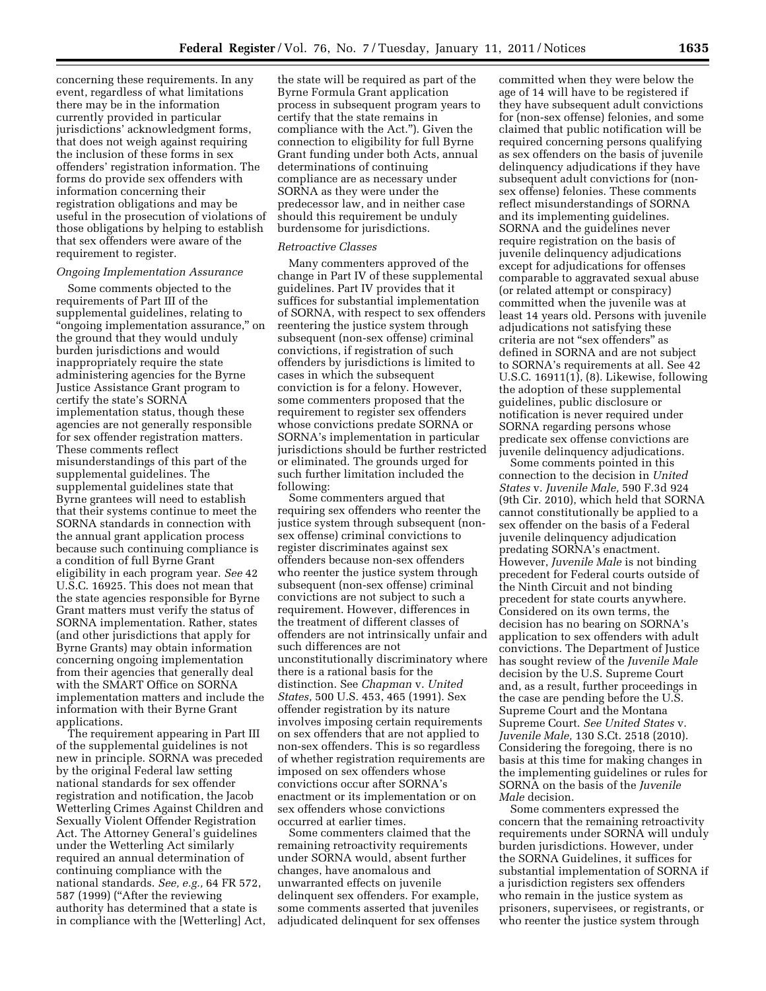concerning these requirements. In any event, regardless of what limitations there may be in the information currently provided in particular jurisdictions' acknowledgment forms, that does not weigh against requiring the inclusion of these forms in sex offenders' registration information. The forms do provide sex offenders with information concerning their registration obligations and may be useful in the prosecution of violations of those obligations by helping to establish that sex offenders were aware of the requirement to register.

#### *Ongoing Implementation Assurance*

Some comments objected to the requirements of Part III of the supplemental guidelines, relating to ''ongoing implementation assurance,'' on the ground that they would unduly burden jurisdictions and would inappropriately require the state administering agencies for the Byrne Justice Assistance Grant program to certify the state's SORNA implementation status, though these agencies are not generally responsible for sex offender registration matters. These comments reflect misunderstandings of this part of the supplemental guidelines. The supplemental guidelines state that Byrne grantees will need to establish that their systems continue to meet the SORNA standards in connection with the annual grant application process because such continuing compliance is a condition of full Byrne Grant eligibility in each program year. *See* 42 U.S.C. 16925. This does not mean that the state agencies responsible for Byrne Grant matters must verify the status of SORNA implementation. Rather, states (and other jurisdictions that apply for Byrne Grants) may obtain information concerning ongoing implementation from their agencies that generally deal with the SMART Office on SORNA implementation matters and include the information with their Byrne Grant applications.

The requirement appearing in Part III of the supplemental guidelines is not new in principle. SORNA was preceded by the original Federal law setting national standards for sex offender registration and notification, the Jacob Wetterling Crimes Against Children and Sexually Violent Offender Registration Act. The Attorney General's guidelines under the Wetterling Act similarly required an annual determination of continuing compliance with the national standards. *See, e.g.,* 64 FR 572, 587 (1999) (''After the reviewing authority has determined that a state is in compliance with the [Wetterling] Act,

the state will be required as part of the Byrne Formula Grant application process in subsequent program years to certify that the state remains in compliance with the Act.''). Given the connection to eligibility for full Byrne Grant funding under both Acts, annual determinations of continuing compliance are as necessary under SORNA as they were under the predecessor law, and in neither case should this requirement be unduly burdensome for jurisdictions.

#### *Retroactive Classes*

Many commenters approved of the change in Part IV of these supplemental guidelines. Part IV provides that it suffices for substantial implementation of SORNA, with respect to sex offenders reentering the justice system through subsequent (non-sex offense) criminal convictions, if registration of such offenders by jurisdictions is limited to cases in which the subsequent conviction is for a felony. However, some commenters proposed that the requirement to register sex offenders whose convictions predate SORNA or SORNA's implementation in particular jurisdictions should be further restricted or eliminated. The grounds urged for such further limitation included the following:

Some commenters argued that requiring sex offenders who reenter the justice system through subsequent (nonsex offense) criminal convictions to register discriminates against sex offenders because non-sex offenders who reenter the justice system through subsequent (non-sex offense) criminal convictions are not subject to such a requirement. However, differences in the treatment of different classes of offenders are not intrinsically unfair and such differences are not unconstitutionally discriminatory where there is a rational basis for the distinction. See *Chapman* v. *United States,* 500 U.S. 453, 465 (1991). Sex offender registration by its nature involves imposing certain requirements on sex offenders that are not applied to non-sex offenders. This is so regardless of whether registration requirements are imposed on sex offenders whose convictions occur after SORNA's enactment or its implementation or on sex offenders whose convictions occurred at earlier times.

Some commenters claimed that the remaining retroactivity requirements under SORNA would, absent further changes, have anomalous and unwarranted effects on juvenile delinquent sex offenders. For example, some comments asserted that juveniles adjudicated delinquent for sex offenses

committed when they were below the age of 14 will have to be registered if they have subsequent adult convictions for (non-sex offense) felonies, and some claimed that public notification will be required concerning persons qualifying as sex offenders on the basis of juvenile delinquency adjudications if they have subsequent adult convictions for (nonsex offense) felonies. These comments reflect misunderstandings of SORNA and its implementing guidelines. SORNA and the guidelines never require registration on the basis of juvenile delinquency adjudications except for adjudications for offenses comparable to aggravated sexual abuse (or related attempt or conspiracy) committed when the juvenile was at least 14 years old. Persons with juvenile adjudications not satisfying these criteria are not ''sex offenders'' as defined in SORNA and are not subject to SORNA's requirements at all. See 42 U.S.C. 16911(1), (8). Likewise, following the adoption of these supplemental guidelines, public disclosure or notification is never required under SORNA regarding persons whose predicate sex offense convictions are juvenile delinquency adjudications.

Some comments pointed in this connection to the decision in *United States* v. *Juvenile Male,* 590 F.3d 924 (9th Cir. 2010), which held that SORNA cannot constitutionally be applied to a sex offender on the basis of a Federal juvenile delinquency adjudication predating SORNA's enactment. However, *Juvenile Male* is not binding precedent for Federal courts outside of the Ninth Circuit and not binding precedent for state courts anywhere. Considered on its own terms, the decision has no bearing on SORNA's application to sex offenders with adult convictions. The Department of Justice has sought review of the *Juvenile Male*  decision by the U.S. Supreme Court and, as a result, further proceedings in the case are pending before the U.S. Supreme Court and the Montana Supreme Court. *See United States* v. *Juvenile Male,* 130 S.Ct. 2518 (2010). Considering the foregoing, there is no basis at this time for making changes in the implementing guidelines or rules for SORNA on the basis of the *Juvenile Male* decision.

Some commenters expressed the concern that the remaining retroactivity requirements under SORNA will unduly burden jurisdictions. However, under the SORNA Guidelines, it suffices for substantial implementation of SORNA if a jurisdiction registers sex offenders who remain in the justice system as prisoners, supervisees, or registrants, or who reenter the justice system through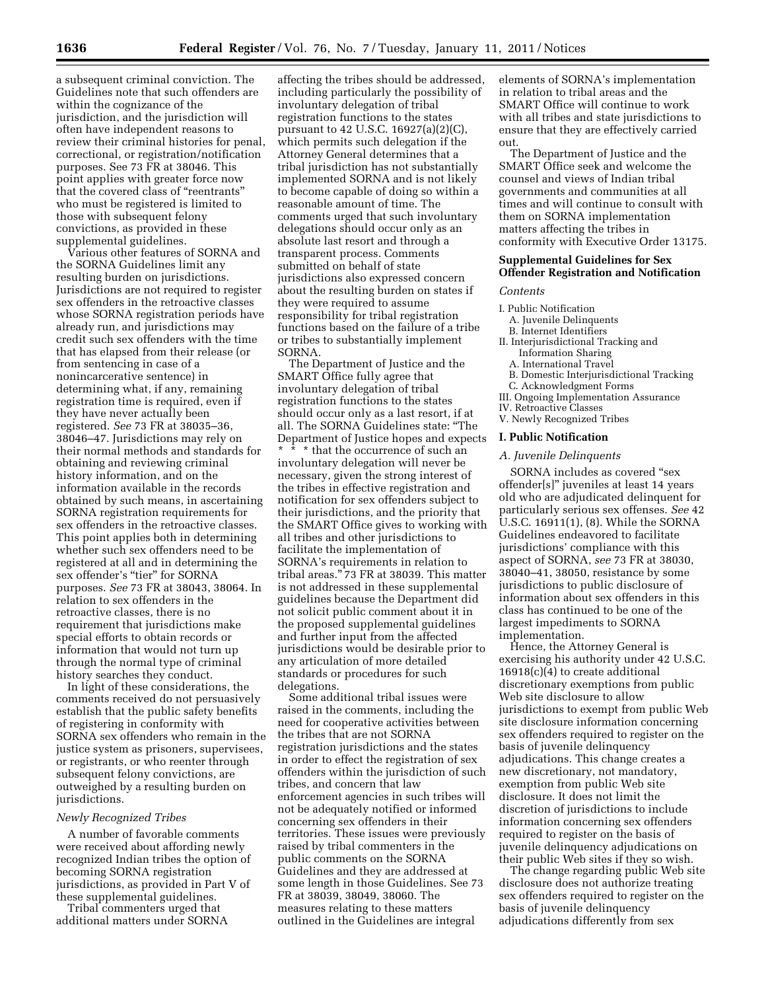a subsequent criminal conviction. The Guidelines note that such offenders are within the cognizance of the jurisdiction, and the jurisdiction will often have independent reasons to review their criminal histories for penal, correctional, or registration/notification purposes. See 73 FR at 38046. This point applies with greater force now that the covered class of ''reentrants'' who must be registered is limited to those with subsequent felony convictions, as provided in these supplemental guidelines.

Various other features of SORNA and the SORNA Guidelines limit any resulting burden on jurisdictions. Jurisdictions are not required to register sex offenders in the retroactive classes whose SORNA registration periods have already run, and jurisdictions may credit such sex offenders with the time that has elapsed from their release (or from sentencing in case of a nonincarcerative sentence) in determining what, if any, remaining registration time is required, even if they have never actually been registered. *See* 73 FR at 38035–36, 38046–47. Jurisdictions may rely on their normal methods and standards for obtaining and reviewing criminal history information, and on the information available in the records obtained by such means, in ascertaining SORNA registration requirements for sex offenders in the retroactive classes. This point applies both in determining whether such sex offenders need to be registered at all and in determining the sex offender's "tier" for SORNA purposes. *See* 73 FR at 38043, 38064. In relation to sex offenders in the retroactive classes, there is no requirement that jurisdictions make special efforts to obtain records or information that would not turn up through the normal type of criminal history searches they conduct.

In light of these considerations, the comments received do not persuasively establish that the public safety benefits of registering in conformity with SORNA sex offenders who remain in the justice system as prisoners, supervisees, or registrants, or who reenter through subsequent felony convictions, are outweighed by a resulting burden on jurisdictions.

#### *Newly Recognized Tribes*

A number of favorable comments were received about affording newly recognized Indian tribes the option of becoming SORNA registration jurisdictions, as provided in Part V of these supplemental guidelines.

Tribal commenters urged that additional matters under SORNA

affecting the tribes should be addressed, including particularly the possibility of involuntary delegation of tribal registration functions to the states pursuant to 42 U.S.C. 16927(a)(2)(C), which permits such delegation if the Attorney General determines that a tribal jurisdiction has not substantially implemented SORNA and is not likely to become capable of doing so within a reasonable amount of time. The comments urged that such involuntary delegations should occur only as an absolute last resort and through a transparent process. Comments submitted on behalf of state jurisdictions also expressed concern about the resulting burden on states if they were required to assume responsibility for tribal registration functions based on the failure of a tribe or tribes to substantially implement SORNA.

The Department of Justice and the SMART Office fully agree that involuntary delegation of tribal registration functions to the states should occur only as a last resort, if at all. The SORNA Guidelines state: ''The Department of Justice hopes and expects \* \* \* that the occurrence of such an involuntary delegation will never be necessary, given the strong interest of the tribes in effective registration and notification for sex offenders subject to their jurisdictions, and the priority that the SMART Office gives to working with all tribes and other jurisdictions to facilitate the implementation of SORNA's requirements in relation to tribal areas.'' 73 FR at 38039. This matter is not addressed in these supplemental guidelines because the Department did not solicit public comment about it in the proposed supplemental guidelines and further input from the affected jurisdictions would be desirable prior to any articulation of more detailed standards or procedures for such delegations.

Some additional tribal issues were raised in the comments, including the need for cooperative activities between the tribes that are not SORNA registration jurisdictions and the states in order to effect the registration of sex offenders within the jurisdiction of such tribes, and concern that law enforcement agencies in such tribes will not be adequately notified or informed concerning sex offenders in their territories. These issues were previously raised by tribal commenters in the public comments on the SORNA Guidelines and they are addressed at some length in those Guidelines. See 73 FR at 38039, 38049, 38060. The measures relating to these matters outlined in the Guidelines are integral

elements of SORNA's implementation in relation to tribal areas and the SMART Office will continue to work with all tribes and state jurisdictions to ensure that they are effectively carried out.

The Department of Justice and the SMART Office seek and welcome the counsel and views of Indian tribal governments and communities at all times and will continue to consult with them on SORNA implementation matters affecting the tribes in conformity with Executive Order 13175.

# **Supplemental Guidelines for Sex Offender Registration and Notification**

*Contents* 

- I. Public Notification
- A. Juvenile Delinquents
- B. Internet Identifiers
- II. Interjurisdictional Tracking and Information Sharing
	- A. International Travel
	- B. Domestic Interjurisdictional Tracking
- C. Acknowledgment Forms
- III. Ongoing Implementation Assurance
- IV. Retroactive Classes V. Newly Recognized Tribes
- 

# **I. Public Notification**

#### *A. Juvenile Delinquents*

SORNA includes as covered ''sex offender[s]'' juveniles at least 14 years old who are adjudicated delinquent for particularly serious sex offenses. *See* 42 U.S.C. 16911(1), (8). While the SORNA Guidelines endeavored to facilitate jurisdictions' compliance with this aspect of SORNA, *see* 73 FR at 38030, 38040–41, 38050, resistance by some jurisdictions to public disclosure of information about sex offenders in this class has continued to be one of the largest impediments to SORNA implementation.

Hence, the Attorney General is exercising his authority under 42 U.S.C. 16918(c)(4) to create additional discretionary exemptions from public Web site disclosure to allow jurisdictions to exempt from public Web site disclosure information concerning sex offenders required to register on the basis of juvenile delinquency adjudications. This change creates a new discretionary, not mandatory, exemption from public Web site disclosure. It does not limit the discretion of jurisdictions to include information concerning sex offenders required to register on the basis of juvenile delinquency adjudications on their public Web sites if they so wish.

The change regarding public Web site disclosure does not authorize treating sex offenders required to register on the basis of juvenile delinquency adjudications differently from sex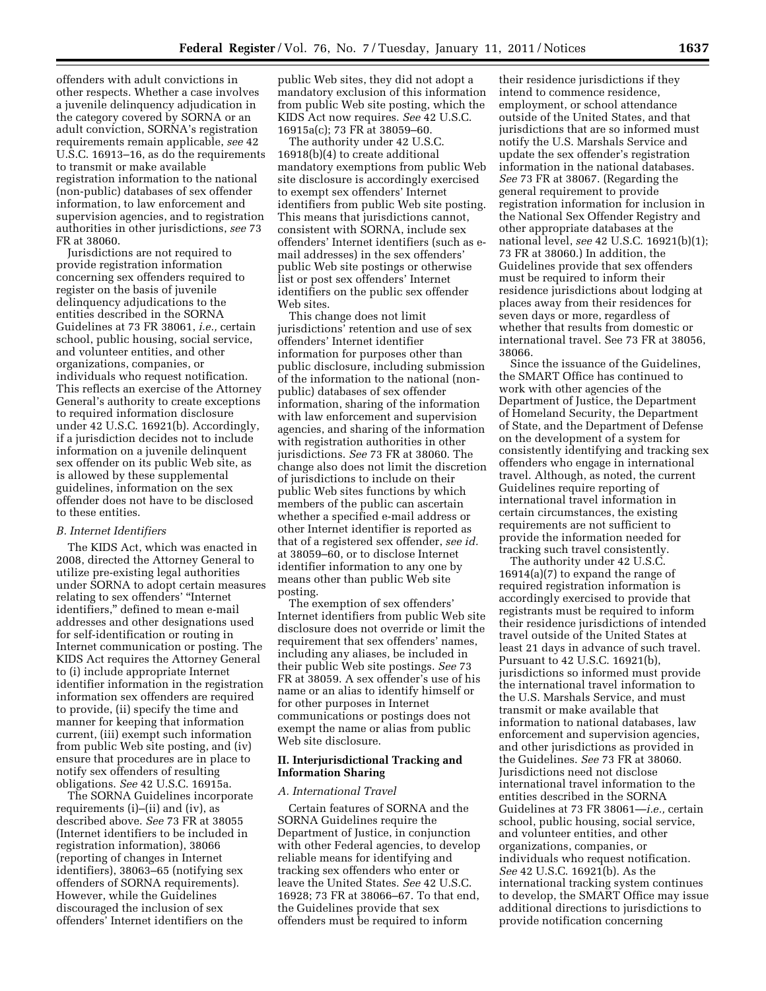offenders with adult convictions in other respects. Whether a case involves a juvenile delinquency adjudication in the category covered by SORNA or an adult conviction, SORNA's registration requirements remain applicable, *see* 42 U.S.C. 16913–16, as do the requirements to transmit or make available registration information to the national (non-public) databases of sex offender information, to law enforcement and supervision agencies, and to registration authorities in other jurisdictions, *see* 73 FR at 38060.

Jurisdictions are not required to provide registration information concerning sex offenders required to register on the basis of juvenile delinquency adjudications to the entities described in the SORNA Guidelines at 73 FR 38061, *i.e.,* certain school, public housing, social service, and volunteer entities, and other organizations, companies, or individuals who request notification. This reflects an exercise of the Attorney General's authority to create exceptions to required information disclosure under 42 U.S.C. 16921(b). Accordingly, if a jurisdiction decides not to include information on a juvenile delinquent sex offender on its public Web site, as is allowed by these supplemental guidelines, information on the sex offender does not have to be disclosed to these entities.

### *B. Internet Identifiers*

The KIDS Act, which was enacted in 2008, directed the Attorney General to utilize pre-existing legal authorities under SORNA to adopt certain measures relating to sex offenders' ''Internet identifiers,'' defined to mean e-mail addresses and other designations used for self-identification or routing in Internet communication or posting. The KIDS Act requires the Attorney General to (i) include appropriate Internet identifier information in the registration information sex offenders are required to provide, (ii) specify the time and manner for keeping that information current, (iii) exempt such information from public Web site posting, and (iv) ensure that procedures are in place to notify sex offenders of resulting obligations. *See* 42 U.S.C. 16915a.

The SORNA Guidelines incorporate requirements (i)–(ii) and (iv), as described above. *See* 73 FR at 38055 (Internet identifiers to be included in registration information), 38066 (reporting of changes in Internet identifiers), 38063–65 (notifying sex offenders of SORNA requirements). However, while the Guidelines discouraged the inclusion of sex offenders' Internet identifiers on the

public Web sites, they did not adopt a mandatory exclusion of this information from public Web site posting, which the KIDS Act now requires. *See* 42 U.S.C. 16915a(c); 73 FR at 38059–60.

The authority under 42 U.S.C. 16918(b)(4) to create additional mandatory exemptions from public Web site disclosure is accordingly exercised to exempt sex offenders' Internet identifiers from public Web site posting. This means that jurisdictions cannot, consistent with SORNA, include sex offenders' Internet identifiers (such as email addresses) in the sex offenders' public Web site postings or otherwise list or post sex offenders' Internet identifiers on the public sex offender Web sites.

This change does not limit jurisdictions' retention and use of sex offenders' Internet identifier information for purposes other than public disclosure, including submission of the information to the national (nonpublic) databases of sex offender information, sharing of the information with law enforcement and supervision agencies, and sharing of the information with registration authorities in other jurisdictions. *See* 73 FR at 38060. The change also does not limit the discretion of jurisdictions to include on their public Web sites functions by which members of the public can ascertain whether a specified e-mail address or other Internet identifier is reported as that of a registered sex offender, *see id.*  at 38059–60, or to disclose Internet identifier information to any one by means other than public Web site posting.

The exemption of sex offenders' Internet identifiers from public Web site disclosure does not override or limit the requirement that sex offenders' names, including any aliases, be included in their public Web site postings. *See* 73 FR at 38059. A sex offender's use of his name or an alias to identify himself or for other purposes in Internet communications or postings does not exempt the name or alias from public Web site disclosure.

### **II. Interjurisdictional Tracking and Information Sharing**

#### *A. International Travel*

Certain features of SORNA and the SORNA Guidelines require the Department of Justice, in conjunction with other Federal agencies, to develop reliable means for identifying and tracking sex offenders who enter or leave the United States. *See* 42 U.S.C. 16928; 73 FR at 38066–67. To that end, the Guidelines provide that sex offenders must be required to inform

their residence jurisdictions if they intend to commence residence, employment, or school attendance outside of the United States, and that jurisdictions that are so informed must notify the U.S. Marshals Service and update the sex offender's registration information in the national databases. *See* 73 FR at 38067. (Regarding the general requirement to provide registration information for inclusion in the National Sex Offender Registry and other appropriate databases at the national level, *see* 42 U.S.C. 16921(b)(1); 73 FR at 38060.) In addition, the Guidelines provide that sex offenders must be required to inform their residence jurisdictions about lodging at places away from their residences for seven days or more, regardless of whether that results from domestic or international travel. See 73 FR at 38056, 38066.

Since the issuance of the Guidelines, the SMART Office has continued to work with other agencies of the Department of Justice, the Department of Homeland Security, the Department of State, and the Department of Defense on the development of a system for consistently identifying and tracking sex offenders who engage in international travel. Although, as noted, the current Guidelines require reporting of international travel information in certain circumstances, the existing requirements are not sufficient to provide the information needed for tracking such travel consistently.

The authority under 42 U.S.C. 16914(a)(7) to expand the range of required registration information is accordingly exercised to provide that registrants must be required to inform their residence jurisdictions of intended travel outside of the United States at least 21 days in advance of such travel. Pursuant to 42 U.S.C. 16921(b), jurisdictions so informed must provide the international travel information to the U.S. Marshals Service, and must transmit or make available that information to national databases, law enforcement and supervision agencies, and other jurisdictions as provided in the Guidelines. *See* 73 FR at 38060. Jurisdictions need not disclose international travel information to the entities described in the SORNA Guidelines at 73 FR 38061—*i.e.,* certain school, public housing, social service, and volunteer entities, and other organizations, companies, or individuals who request notification. *See* 42 U.S.C. 16921(b). As the international tracking system continues to develop, the SMART Office may issue additional directions to jurisdictions to provide notification concerning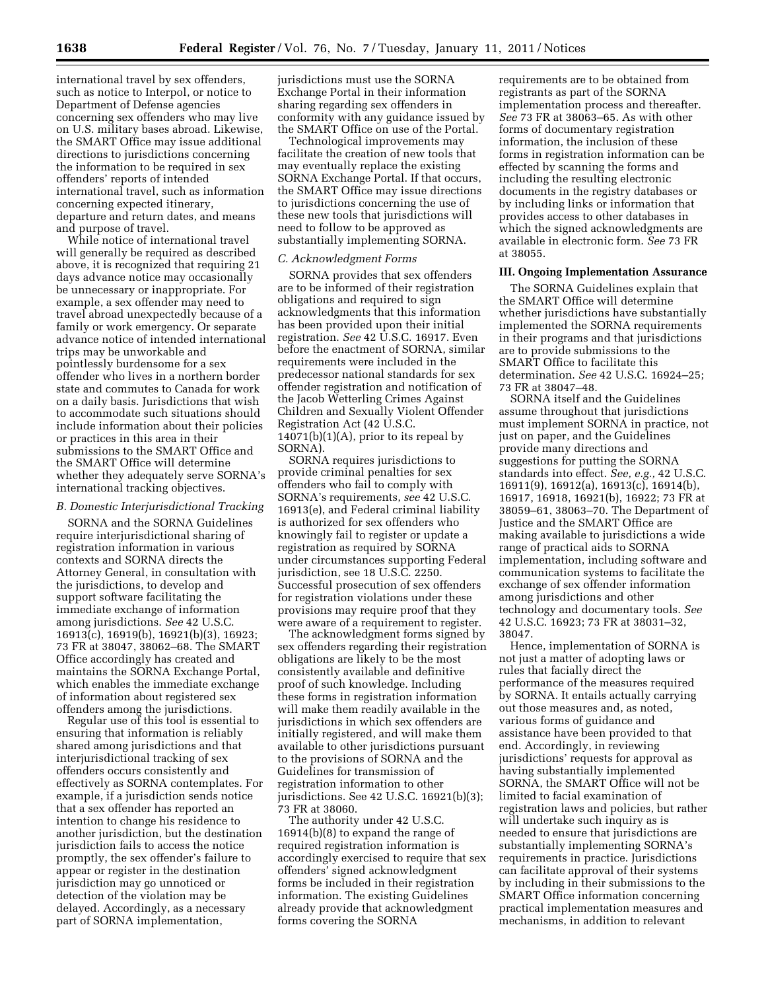international travel by sex offenders, such as notice to Interpol, or notice to Department of Defense agencies concerning sex offenders who may live on U.S. military bases abroad. Likewise, the SMART Office may issue additional directions to jurisdictions concerning the information to be required in sex offenders' reports of intended international travel, such as information concerning expected itinerary, departure and return dates, and means and purpose of travel.

While notice of international travel will generally be required as described above, it is recognized that requiring 21 days advance notice may occasionally be unnecessary or inappropriate. For example, a sex offender may need to travel abroad unexpectedly because of a family or work emergency. Or separate advance notice of intended international trips may be unworkable and pointlessly burdensome for a sex offender who lives in a northern border state and commutes to Canada for work on a daily basis. Jurisdictions that wish to accommodate such situations should include information about their policies or practices in this area in their submissions to the SMART Office and the SMART Office will determine whether they adequately serve SORNA's international tracking objectives.

# *B. Domestic Interjurisdictional Tracking*

SORNA and the SORNA Guidelines require interjurisdictional sharing of registration information in various contexts and SORNA directs the Attorney General, in consultation with the jurisdictions, to develop and support software facilitating the immediate exchange of information among jurisdictions. *See* 42 U.S.C. 16913(c), 16919(b), 16921(b)(3), 16923; 73 FR at 38047, 38062–68. The SMART Office accordingly has created and maintains the SORNA Exchange Portal, which enables the immediate exchange of information about registered sex offenders among the jurisdictions.

Regular use of this tool is essential to ensuring that information is reliably shared among jurisdictions and that interjurisdictional tracking of sex offenders occurs consistently and effectively as SORNA contemplates. For example, if a jurisdiction sends notice that a sex offender has reported an intention to change his residence to another jurisdiction, but the destination jurisdiction fails to access the notice promptly, the sex offender's failure to appear or register in the destination jurisdiction may go unnoticed or detection of the violation may be delayed. Accordingly, as a necessary part of SORNA implementation,

jurisdictions must use the SORNA Exchange Portal in their information sharing regarding sex offenders in conformity with any guidance issued by the SMART Office on use of the Portal.

Technological improvements may facilitate the creation of new tools that may eventually replace the existing SORNA Exchange Portal. If that occurs, the SMART Office may issue directions to jurisdictions concerning the use of these new tools that jurisdictions will need to follow to be approved as substantially implementing SORNA.

#### *C. Acknowledgment Forms*

SORNA provides that sex offenders are to be informed of their registration obligations and required to sign acknowledgments that this information has been provided upon their initial registration. *See* 42 U.S.C. 16917. Even before the enactment of SORNA, similar requirements were included in the predecessor national standards for sex offender registration and notification of the Jacob Wetterling Crimes Against Children and Sexually Violent Offender Registration Act (42 U.S.C.  $14071(b)(1)(A)$ , prior to its repeal by SORNA).

SORNA requires jurisdictions to provide criminal penalties for sex offenders who fail to comply with SORNA's requirements, *see* 42 U.S.C. 16913(e), and Federal criminal liability is authorized for sex offenders who knowingly fail to register or update a registration as required by SORNA under circumstances supporting Federal jurisdiction, see 18 U.S.C. 2250. Successful prosecution of sex offenders for registration violations under these provisions may require proof that they were aware of a requirement to register.

The acknowledgment forms signed by sex offenders regarding their registration obligations are likely to be the most consistently available and definitive proof of such knowledge. Including these forms in registration information will make them readily available in the jurisdictions in which sex offenders are initially registered, and will make them available to other jurisdictions pursuant to the provisions of SORNA and the Guidelines for transmission of registration information to other jurisdictions. See 42 U.S.C. 16921(b)(3); 73 FR at 38060.

The authority under 42 U.S.C. 16914(b)(8) to expand the range of required registration information is accordingly exercised to require that sex offenders' signed acknowledgment forms be included in their registration information. The existing Guidelines already provide that acknowledgment forms covering the SORNA

requirements are to be obtained from registrants as part of the SORNA implementation process and thereafter. *See* 73 FR at 38063–65. As with other forms of documentary registration information, the inclusion of these forms in registration information can be effected by scanning the forms and including the resulting electronic documents in the registry databases or by including links or information that provides access to other databases in which the signed acknowledgments are available in electronic form. *See* 73 FR at 38055.

#### **III. Ongoing Implementation Assurance**

The SORNA Guidelines explain that the SMART Office will determine whether jurisdictions have substantially implemented the SORNA requirements in their programs and that jurisdictions are to provide submissions to the SMART Office to facilitate this determination. *See* 42 U.S.C. 16924–25; 73 FR at 38047–48.

SORNA itself and the Guidelines assume throughout that jurisdictions must implement SORNA in practice, not just on paper, and the Guidelines provide many directions and suggestions for putting the SORNA standards into effect. *See, e.g.,* 42 U.S.C. 16911(9), 16912(a), 16913(c), 16914(b), 16917, 16918, 16921(b), 16922; 73 FR at 38059–61, 38063–70. The Department of Justice and the SMART Office are making available to jurisdictions a wide range of practical aids to SORNA implementation, including software and communication systems to facilitate the exchange of sex offender information among jurisdictions and other technology and documentary tools. *See*  42 U.S.C. 16923; 73 FR at 38031–32, 38047.

Hence, implementation of SORNA is not just a matter of adopting laws or rules that facially direct the performance of the measures required by SORNA. It entails actually carrying out those measures and, as noted, various forms of guidance and assistance have been provided to that end. Accordingly, in reviewing jurisdictions' requests for approval as having substantially implemented SORNA, the SMART Office will not be limited to facial examination of registration laws and policies, but rather will undertake such inquiry as is needed to ensure that jurisdictions are substantially implementing SORNA's requirements in practice. Jurisdictions can facilitate approval of their systems by including in their submissions to the SMART Office information concerning practical implementation measures and mechanisms, in addition to relevant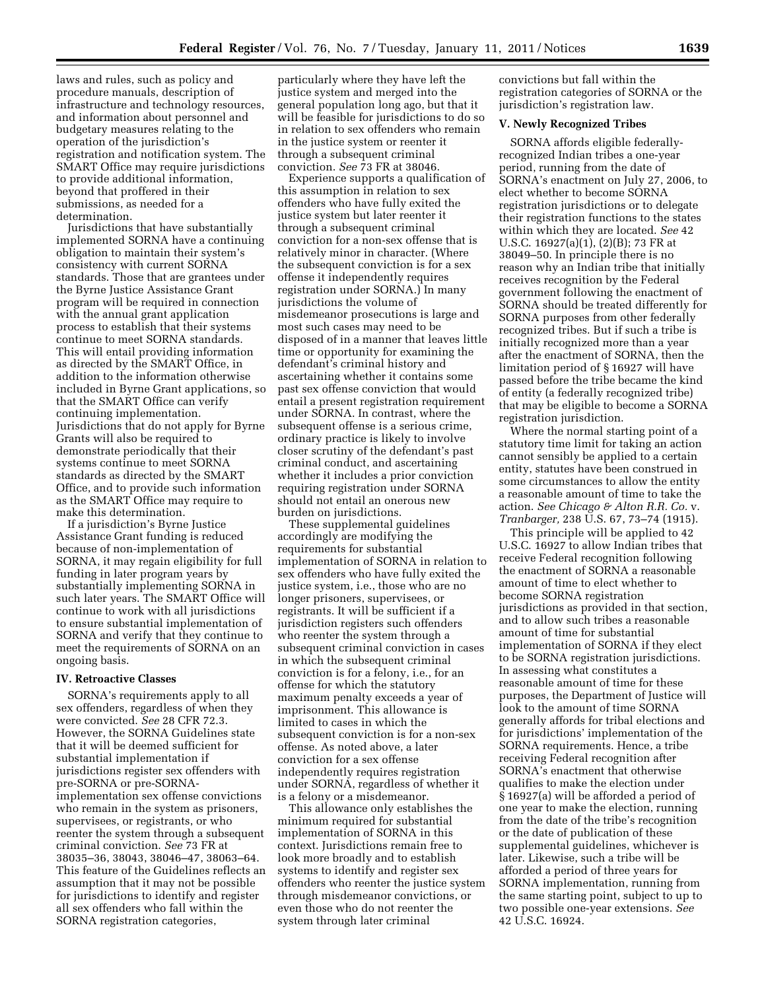laws and rules, such as policy and procedure manuals, description of infrastructure and technology resources, and information about personnel and budgetary measures relating to the operation of the jurisdiction's registration and notification system. The SMART Office may require jurisdictions to provide additional information, beyond that proffered in their submissions, as needed for a determination.

Jurisdictions that have substantially implemented SORNA have a continuing obligation to maintain their system's consistency with current SORNA standards. Those that are grantees under the Byrne Justice Assistance Grant program will be required in connection with the annual grant application process to establish that their systems continue to meet SORNA standards. This will entail providing information as directed by the SMART Office, in addition to the information otherwise included in Byrne Grant applications, so that the SMART Office can verify continuing implementation. Jurisdictions that do not apply for Byrne Grants will also be required to demonstrate periodically that their systems continue to meet SORNA standards as directed by the SMART Office, and to provide such information as the SMART Office may require to make this determination.

If a jurisdiction's Byrne Justice Assistance Grant funding is reduced because of non-implementation of SORNA, it may regain eligibility for full funding in later program years by substantially implementing SORNA in such later years. The SMART Office will continue to work with all jurisdictions to ensure substantial implementation of SORNA and verify that they continue to meet the requirements of SORNA on an ongoing basis.

## **IV. Retroactive Classes**

SORNA's requirements apply to all sex offenders, regardless of when they were convicted. *See* 28 CFR 72.3. However, the SORNA Guidelines state that it will be deemed sufficient for substantial implementation if jurisdictions register sex offenders with pre-SORNA or pre-SORNAimplementation sex offense convictions who remain in the system as prisoners, supervisees, or registrants, or who reenter the system through a subsequent criminal conviction. *See* 73 FR at 38035–36, 38043, 38046–47, 38063–64. This feature of the Guidelines reflects an assumption that it may not be possible for jurisdictions to identify and register all sex offenders who fall within the SORNA registration categories,

particularly where they have left the justice system and merged into the general population long ago, but that it will be feasible for jurisdictions to do so in relation to sex offenders who remain in the justice system or reenter it through a subsequent criminal conviction. *See* 73 FR at 38046.

Experience supports a qualification of this assumption in relation to sex offenders who have fully exited the justice system but later reenter it through a subsequent criminal conviction for a non-sex offense that is relatively minor in character. (Where the subsequent conviction is for a sex offense it independently requires registration under SORNA.) In many jurisdictions the volume of misdemeanor prosecutions is large and most such cases may need to be disposed of in a manner that leaves little time or opportunity for examining the defendant's criminal history and ascertaining whether it contains some past sex offense conviction that would entail a present registration requirement under SORNA. In contrast, where the subsequent offense is a serious crime, ordinary practice is likely to involve closer scrutiny of the defendant's past criminal conduct, and ascertaining whether it includes a prior conviction requiring registration under SORNA should not entail an onerous new burden on jurisdictions.

These supplemental guidelines accordingly are modifying the requirements for substantial implementation of SORNA in relation to sex offenders who have fully exited the justice system, i.e., those who are no longer prisoners, supervisees, or registrants. It will be sufficient if a jurisdiction registers such offenders who reenter the system through a subsequent criminal conviction in cases in which the subsequent criminal conviction is for a felony, i.e., for an offense for which the statutory maximum penalty exceeds a year of imprisonment. This allowance is limited to cases in which the subsequent conviction is for a non-sex offense. As noted above, a later conviction for a sex offense independently requires registration under SORNA, regardless of whether it is a felony or a misdemeanor.

This allowance only establishes the minimum required for substantial implementation of SORNA in this context. Jurisdictions remain free to look more broadly and to establish systems to identify and register sex offenders who reenter the justice system through misdemeanor convictions, or even those who do not reenter the system through later criminal

convictions but fall within the registration categories of SORNA or the jurisdiction's registration law.

# **V. Newly Recognized Tribes**

SORNA affords eligible federallyrecognized Indian tribes a one-year period, running from the date of SORNA's enactment on July 27, 2006, to elect whether to become SORNA registration jurisdictions or to delegate their registration functions to the states within which they are located. *See* 42 U.S.C. 16927(a)(1), (2)(B); 73 FR at 38049–50. In principle there is no reason why an Indian tribe that initially receives recognition by the Federal government following the enactment of SORNA should be treated differently for SORNA purposes from other federally recognized tribes. But if such a tribe is initially recognized more than a year after the enactment of SORNA, then the limitation period of § 16927 will have passed before the tribe became the kind of entity (a federally recognized tribe) that may be eligible to become a SORNA registration jurisdiction.

Where the normal starting point of a statutory time limit for taking an action cannot sensibly be applied to a certain entity, statutes have been construed in some circumstances to allow the entity a reasonable amount of time to take the action. *See Chicago & Alton R.R. Co.* v. *Tranbarger,* 238 U.S. 67, 73–74 (1915).

This principle will be applied to 42 U.S.C. 16927 to allow Indian tribes that receive Federal recognition following the enactment of SORNA a reasonable amount of time to elect whether to become SORNA registration jurisdictions as provided in that section, and to allow such tribes a reasonable amount of time for substantial implementation of SORNA if they elect to be SORNA registration jurisdictions. In assessing what constitutes a reasonable amount of time for these purposes, the Department of Justice will look to the amount of time SORNA generally affords for tribal elections and for jurisdictions' implementation of the SORNA requirements. Hence, a tribe receiving Federal recognition after SORNA's enactment that otherwise qualifies to make the election under § 16927(a) will be afforded a period of one year to make the election, running from the date of the tribe's recognition or the date of publication of these supplemental guidelines, whichever is later. Likewise, such a tribe will be afforded a period of three years for SORNA implementation, running from the same starting point, subject to up to two possible one-year extensions. *See*  42 U.S.C. 16924.